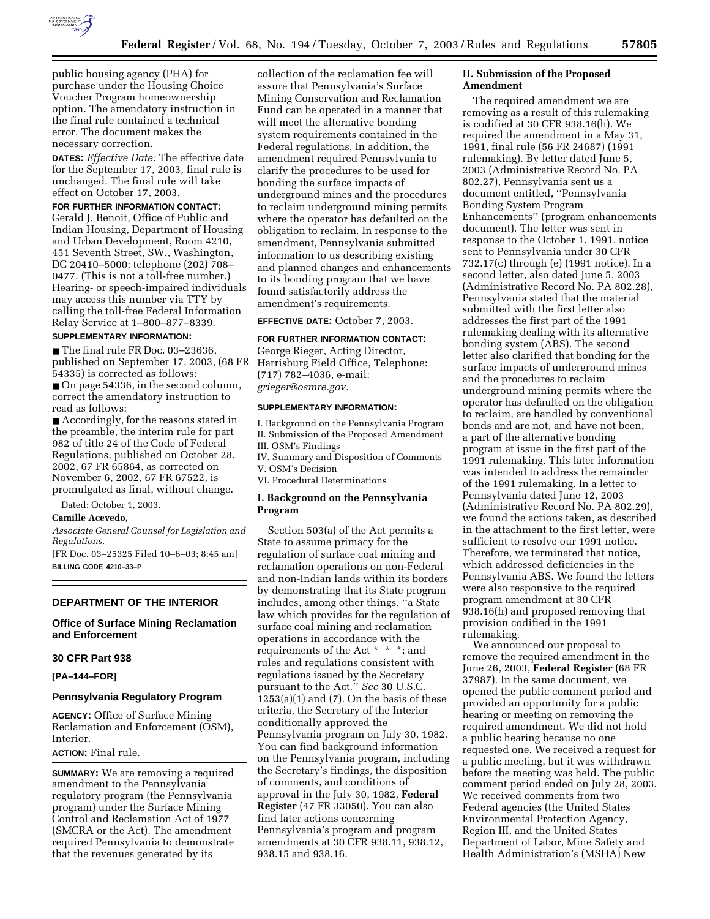

public housing agency (PHA) for purchase under the Housing Choice Voucher Program homeownership option. The amendatory instruction in the final rule contained a technical error. The document makes the necessary correction.

**DATES:** *Effective Date:* The effective date for the September 17, 2003, final rule is unchanged. The final rule will take effect on October 17, 2003.

## **FOR FURTHER INFORMATION CONTACT:**

Gerald J. Benoit, Office of Public and Indian Housing, Department of Housing and Urban Development, Room 4210, 451 Seventh Street, SW., Washington, DC 20410–5000; telephone (202) 708– 0477. (This is not a toll-free number.) Hearing- or speech-impaired individuals may access this number via TTY by calling the toll-free Federal Information Relay Service at 1–800–877–8339.

## **SUPPLEMENTARY INFORMATION:**

■ The final rule FR Doc. 03–23636, published on September 17, 2003, (68 FR Harrisburg Field Office, Telephone: 54335) is corrected as follows:

■ On page 54336, in the second column, correct the amendatory instruction to read as follows:

■ Accordingly, for the reasons stated in the preamble, the interim rule for part 982 of title 24 of the Code of Federal Regulations, published on October 28, 2002, 67 FR 65864, as corrected on November 6, 2002, 67 FR 67522, is promulgated as final, without change.

Dated: October 1, 2003.

### **Camille Acevedo,**

*Associate General Counsel for Legislation and Regulations.*

[FR Doc. 03–25325 Filed 10–6–03; 8:45 am] **BILLING CODE 4210–33–P**

### **DEPARTMENT OF THE INTERIOR**

## **Office of Surface Mining Reclamation and Enforcement**

## **30 CFR Part 938**

**[PA–144–FOR]** 

## **Pennsylvania Regulatory Program**

**AGENCY:** Office of Surface Mining Reclamation and Enforcement (OSM), Interior.

## **ACTION:** Final rule.

**SUMMARY:** We are removing a required amendment to the Pennsylvania regulatory program (the Pennsylvania program) under the Surface Mining Control and Reclamation Act of 1977 (SMCRA or the Act). The amendment required Pennsylvania to demonstrate that the revenues generated by its

collection of the reclamation fee will assure that Pennsylvania's Surface Mining Conservation and Reclamation Fund can be operated in a manner that will meet the alternative bonding system requirements contained in the Federal regulations. In addition, the amendment required Pennsylvania to clarify the procedures to be used for bonding the surface impacts of underground mines and the procedures to reclaim underground mining permits where the operator has defaulted on the obligation to reclaim. In response to the amendment, Pennsylvania submitted information to us describing existing and planned changes and enhancements to its bonding program that we have found satisfactorily address the amendment's requirements.

**EFFECTIVE DATE:** October 7, 2003.

# **FOR FURTHER INFORMATION CONTACT:**

George Rieger, Acting Director, (717) 782–4036, e-mail: *grieger@osmre.gov.*

## **SUPPLEMENTARY INFORMATION:**

I. Background on the Pennsylvania Program II. Submission of the Proposed Amendment III. OSM's Findings IV. Summary and Disposition of Comments V. OSM's Decision

VI. Procedural Determinations

## **I. Background on the Pennsylvania Program**

Section 503(a) of the Act permits a State to assume primacy for the regulation of surface coal mining and reclamation operations on non-Federal and non-Indian lands within its borders by demonstrating that its State program includes, among other things, ''a State law which provides for the regulation of surface coal mining and reclamation operations in accordance with the requirements of the Act \* \* \*; and rules and regulations consistent with regulations issued by the Secretary pursuant to the Act.'' *See* 30 U.S.C.  $1253(a)(1)$  and  $(7)$ . On the basis of these criteria, the Secretary of the Interior conditionally approved the Pennsylvania program on July 30, 1982. You can find background information on the Pennsylvania program, including the Secretary's findings, the disposition of comments, and conditions of approval in the July 30, 1982, **Federal Register** (47 FR 33050). You can also find later actions concerning Pennsylvania's program and program amendments at 30 CFR 938.11, 938.12, 938.15 and 938.16.

## **II. Submission of the Proposed Amendment**

The required amendment we are removing as a result of this rulemaking is codified at 30 CFR 938.16(h). We required the amendment in a May 31, 1991, final rule (56 FR 24687) (1991 rulemaking). By letter dated June 5, 2003 (Administrative Record No. PA 802.27), Pennsylvania sent us a document entitled, ''Pennsylvania Bonding System Program Enhancements'' (program enhancements document). The letter was sent in response to the October 1, 1991, notice sent to Pennsylvania under 30 CFR 732.17(c) through (e) (1991 notice). In a second letter, also dated June 5, 2003 (Administrative Record No. PA 802.28), Pennsylvania stated that the material submitted with the first letter also addresses the first part of the 1991 rulemaking dealing with its alternative bonding system (ABS). The second letter also clarified that bonding for the surface impacts of underground mines and the procedures to reclaim underground mining permits where the operator has defaulted on the obligation to reclaim, are handled by conventional bonds and are not, and have not been, a part of the alternative bonding program at issue in the first part of the 1991 rulemaking. This later information was intended to address the remainder of the 1991 rulemaking. In a letter to Pennsylvania dated June 12, 2003 (Administrative Record No. PA 802.29), we found the actions taken, as described in the attachment to the first letter, were sufficient to resolve our 1991 notice. Therefore, we terminated that notice, which addressed deficiencies in the Pennsylvania ABS. We found the letters were also responsive to the required program amendment at 30 CFR 938.16(h) and proposed removing that provision codified in the 1991 rulemaking.

We announced our proposal to remove the required amendment in the June 26, 2003, **Federal Register** (68 FR 37987). In the same document, we opened the public comment period and provided an opportunity for a public hearing or meeting on removing the required amendment. We did not hold a public hearing because no one requested one. We received a request for a public meeting, but it was withdrawn before the meeting was held. The public comment period ended on July 28, 2003. We received comments from two Federal agencies (the United States Environmental Protection Agency, Region III, and the United States Department of Labor, Mine Safety and Health Administration's (MSHA) New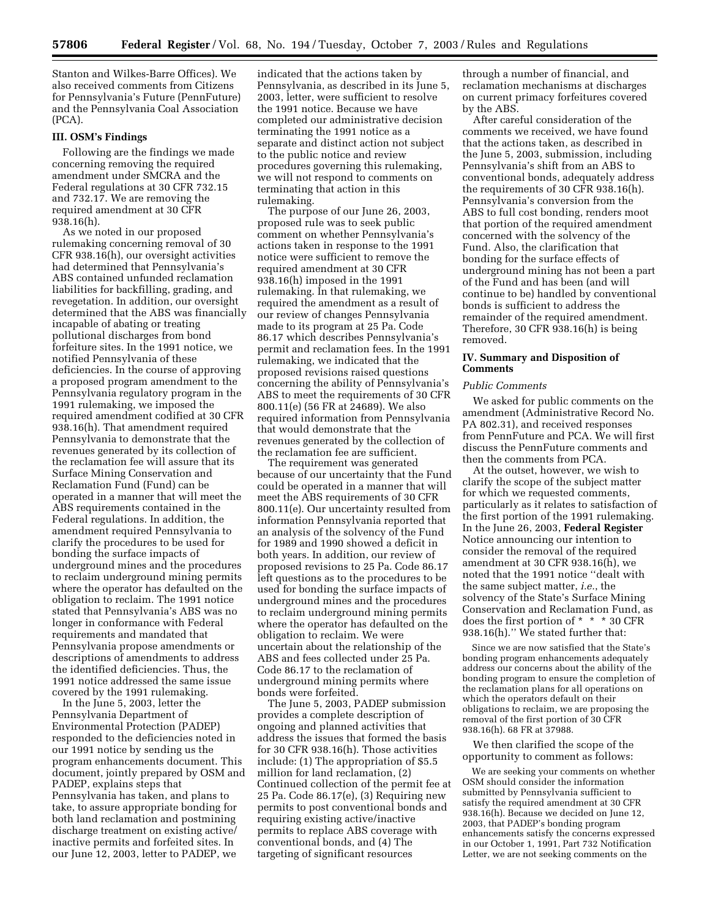Stanton and Wilkes-Barre Offices). We also received comments from Citizens for Pennsylvania's Future (PennFuture) and the Pennsylvania Coal Association (PCA).

## **III. OSM's Findings**

Following are the findings we made concerning removing the required amendment under SMCRA and the Federal regulations at 30 CFR 732.15 and 732.17. We are removing the required amendment at 30 CFR 938.16(h).

As we noted in our proposed rulemaking concerning removal of 30 CFR 938.16(h), our oversight activities had determined that Pennsylvania's ABS contained unfunded reclamation liabilities for backfilling, grading, and revegetation. In addition, our oversight determined that the ABS was financially incapable of abating or treating pollutional discharges from bond forfeiture sites. In the 1991 notice, we notified Pennsylvania of these deficiencies. In the course of approving a proposed program amendment to the Pennsylvania regulatory program in the 1991 rulemaking, we imposed the required amendment codified at 30 CFR 938.16(h). That amendment required Pennsylvania to demonstrate that the revenues generated by its collection of the reclamation fee will assure that its Surface Mining Conservation and Reclamation Fund (Fund) can be operated in a manner that will meet the ABS requirements contained in the Federal regulations. In addition, the amendment required Pennsylvania to clarify the procedures to be used for bonding the surface impacts of underground mines and the procedures to reclaim underground mining permits where the operator has defaulted on the obligation to reclaim. The 1991 notice stated that Pennsylvania's ABS was no longer in conformance with Federal requirements and mandated that Pennsylvania propose amendments or descriptions of amendments to address the identified deficiencies. Thus, the 1991 notice addressed the same issue covered by the 1991 rulemaking.

In the June 5, 2003, letter the Pennsylvania Department of Environmental Protection (PADEP) responded to the deficiencies noted in our 1991 notice by sending us the program enhancements document. This document, jointly prepared by OSM and PADEP, explains steps that Pennsylvania has taken, and plans to take, to assure appropriate bonding for both land reclamation and postmining discharge treatment on existing active/ inactive permits and forfeited sites. In our June 12, 2003, letter to PADEP, we

indicated that the actions taken by Pennsylvania, as described in its June 5, 2003, letter, were sufficient to resolve the 1991 notice. Because we have completed our administrative decision terminating the 1991 notice as a separate and distinct action not subject to the public notice and review procedures governing this rulemaking, we will not respond to comments on terminating that action in this rulemaking.

The purpose of our June 26, 2003, proposed rule was to seek public comment on whether Pennsylvania's actions taken in response to the 1991 notice were sufficient to remove the required amendment at 30 CFR 938.16(h) imposed in the 1991 rulemaking. In that rulemaking, we required the amendment as a result of our review of changes Pennsylvania made to its program at 25 Pa. Code 86.17 which describes Pennsylvania's permit and reclamation fees. In the 1991 rulemaking, we indicated that the proposed revisions raised questions concerning the ability of Pennsylvania's ABS to meet the requirements of 30 CFR 800.11(e) (56 FR at 24689). We also required information from Pennsylvania that would demonstrate that the revenues generated by the collection of the reclamation fee are sufficient.

The requirement was generated because of our uncertainty that the Fund could be operated in a manner that will meet the ABS requirements of 30 CFR 800.11(e). Our uncertainty resulted from information Pennsylvania reported that an analysis of the solvency of the Fund for 1989 and 1990 showed a deficit in both years. In addition, our review of proposed revisions to 25 Pa. Code 86.17 left questions as to the procedures to be used for bonding the surface impacts of underground mines and the procedures to reclaim underground mining permits where the operator has defaulted on the obligation to reclaim. We were uncertain about the relationship of the ABS and fees collected under 25 Pa. Code 86.17 to the reclamation of underground mining permits where bonds were forfeited.

The June 5, 2003, PADEP submission provides a complete description of ongoing and planned activities that address the issues that formed the basis for 30 CFR 938.16(h). Those activities include: (1) The appropriation of \$5.5 million for land reclamation, (2) Continued collection of the permit fee at 25 Pa. Code 86.17(e), (3) Requiring new permits to post conventional bonds and requiring existing active/inactive permits to replace ABS coverage with conventional bonds, and (4) The targeting of significant resources

through a number of financial, and reclamation mechanisms at discharges on current primacy forfeitures covered by the ABS.

After careful consideration of the comments we received, we have found that the actions taken, as described in the June 5, 2003, submission, including Pennsylvania's shift from an ABS to conventional bonds, adequately address the requirements of 30 CFR 938.16(h). Pennsylvania's conversion from the ABS to full cost bonding, renders moot that portion of the required amendment concerned with the solvency of the Fund. Also, the clarification that bonding for the surface effects of underground mining has not been a part of the Fund and has been (and will continue to be) handled by conventional bonds is sufficient to address the remainder of the required amendment. Therefore, 30 CFR 938.16(h) is being removed.

## **IV. Summary and Disposition of Comments**

### *Public Comments*

We asked for public comments on the amendment (Administrative Record No. PA 802.31), and received responses from PennFuture and PCA. We will first discuss the PennFuture comments and then the comments from PCA.

At the outset, however, we wish to clarify the scope of the subject matter for which we requested comments, particularly as it relates to satisfaction of the first portion of the 1991 rulemaking. In the June 26, 2003, **Federal Register** Notice announcing our intention to consider the removal of the required amendment at 30 CFR 938.16(h), we noted that the 1991 notice ''dealt with the same subject matter, *i.e.*, the solvency of the State's Surface Mining Conservation and Reclamation Fund, as does the first portion of \* \* \* 30 CFR 938.16(h).'' We stated further that:

Since we are now satisfied that the State's bonding program enhancements adequately address our concerns about the ability of the bonding program to ensure the completion of the reclamation plans for all operations on which the operators default on their obligations to reclaim, we are proposing the removal of the first portion of 30 CFR 938.16(h). 68 FR at 37988.

We then clarified the scope of the opportunity to comment as follows:

We are seeking your comments on whether OSM should consider the information submitted by Pennsylvania sufficient to satisfy the required amendment at 30 CFR 938.16(h). Because we decided on June 12, 2003, that PADEP's bonding program enhancements satisfy the concerns expressed in our October 1, 1991, Part 732 Notification Letter, we are not seeking comments on the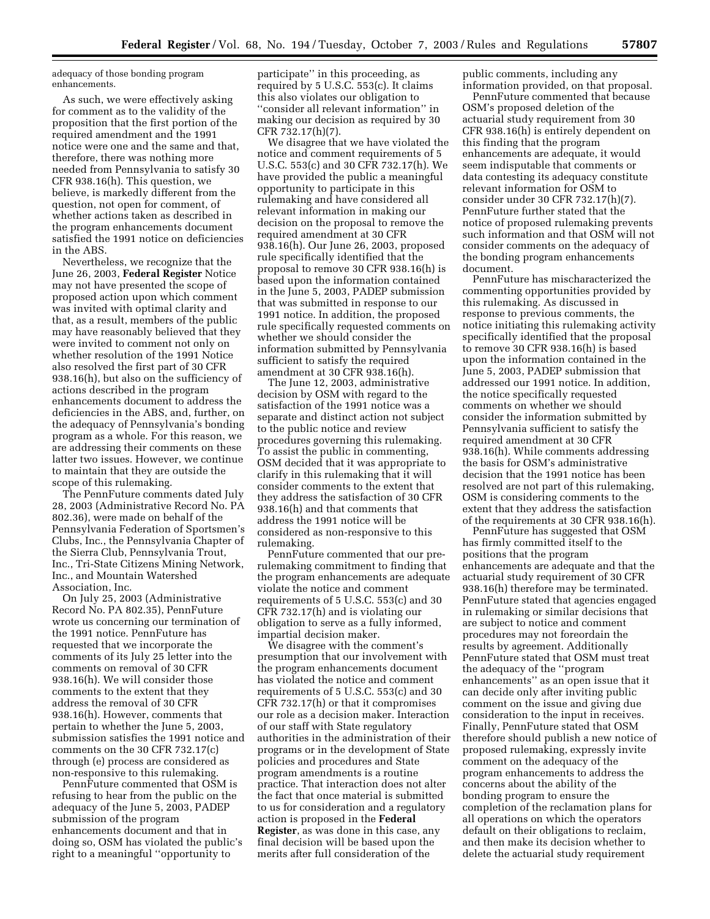adequacy of those bonding program enhancements.

As such, we were effectively asking for comment as to the validity of the proposition that the first portion of the required amendment and the 1991 notice were one and the same and that, therefore, there was nothing more needed from Pennsylvania to satisfy 30 CFR 938.16(h). This question, we believe, is markedly different from the question, not open for comment, of whether actions taken as described in the program enhancements document satisfied the 1991 notice on deficiencies in the ABS.

Nevertheless, we recognize that the June 26, 2003, **Federal Register** Notice may not have presented the scope of proposed action upon which comment was invited with optimal clarity and that, as a result, members of the public may have reasonably believed that they were invited to comment not only on whether resolution of the 1991 Notice also resolved the first part of 30 CFR 938.16(h), but also on the sufficiency of actions described in the program enhancements document to address the deficiencies in the ABS, and, further, on the adequacy of Pennsylvania's bonding program as a whole. For this reason, we are addressing their comments on these latter two issues. However, we continue to maintain that they are outside the scope of this rulemaking.

The PennFuture comments dated July 28, 2003 (Administrative Record No. PA 802.36), were made on behalf of the Pennsylvania Federation of Sportsmen's Clubs, Inc., the Pennsylvania Chapter of the Sierra Club, Pennsylvania Trout, Inc., Tri-State Citizens Mining Network, Inc., and Mountain Watershed Association, Inc.

On July 25, 2003 (Administrative Record No. PA 802.35), PennFuture wrote us concerning our termination of the 1991 notice. PennFuture has requested that we incorporate the comments of its July 25 letter into the comments on removal of 30 CFR 938.16(h). We will consider those comments to the extent that they address the removal of 30 CFR 938.16(h). However, comments that pertain to whether the June 5, 2003, submission satisfies the 1991 notice and comments on the 30 CFR 732.17(c) through (e) process are considered as non-responsive to this rulemaking.

PennFuture commented that OSM is refusing to hear from the public on the adequacy of the June 5, 2003, PADEP submission of the program enhancements document and that in doing so, OSM has violated the public's right to a meaningful ''opportunity to

participate'' in this proceeding, as required by 5 U.S.C. 553(c). It claims this also violates our obligation to ''consider all relevant information'' in making our decision as required by 30 CFR 732.17(h)(7).

We disagree that we have violated the notice and comment requirements of 5 U.S.C. 553(c) and 30 CFR 732.17(h). We have provided the public a meaningful opportunity to participate in this rulemaking and have considered all relevant information in making our decision on the proposal to remove the required amendment at 30 CFR 938.16(h). Our June 26, 2003, proposed rule specifically identified that the proposal to remove 30 CFR 938.16(h) is based upon the information contained in the June 5, 2003, PADEP submission that was submitted in response to our 1991 notice. In addition, the proposed rule specifically requested comments on whether we should consider the information submitted by Pennsylvania sufficient to satisfy the required amendment at 30 CFR 938.16(h).

The June 12, 2003, administrative decision by OSM with regard to the satisfaction of the 1991 notice was a separate and distinct action not subject to the public notice and review procedures governing this rulemaking. To assist the public in commenting, OSM decided that it was appropriate to clarify in this rulemaking that it will consider comments to the extent that they address the satisfaction of 30 CFR 938.16(h) and that comments that address the 1991 notice will be considered as non-responsive to this rulemaking.

PennFuture commented that our prerulemaking commitment to finding that the program enhancements are adequate violate the notice and comment requirements of 5 U.S.C. 553(c) and 30 CFR 732.17(h) and is violating our obligation to serve as a fully informed, impartial decision maker.

We disagree with the comment's presumption that our involvement with the program enhancements document has violated the notice and comment requirements of 5 U.S.C. 553(c) and 30 CFR 732.17(h) or that it compromises our role as a decision maker. Interaction of our staff with State regulatory authorities in the administration of their programs or in the development of State policies and procedures and State program amendments is a routine practice. That interaction does not alter the fact that once material is submitted to us for consideration and a regulatory action is proposed in the **Federal Register**, as was done in this case, any final decision will be based upon the merits after full consideration of the

public comments, including any information provided, on that proposal.

PennFuture commented that because OSM's proposed deletion of the actuarial study requirement from 30 CFR 938.16(h) is entirely dependent on this finding that the program enhancements are adequate, it would seem indisputable that comments or data contesting its adequacy constitute relevant information for OSM to consider under 30 CFR 732.17(h)(7). PennFuture further stated that the notice of proposed rulemaking prevents such information and that OSM will not consider comments on the adequacy of the bonding program enhancements document.

PennFuture has mischaracterized the commenting opportunities provided by this rulemaking. As discussed in response to previous comments, the notice initiating this rulemaking activity specifically identified that the proposal to remove 30 CFR 938.16(h) is based upon the information contained in the June 5, 2003, PADEP submission that addressed our 1991 notice. In addition, the notice specifically requested comments on whether we should consider the information submitted by Pennsylvania sufficient to satisfy the required amendment at 30 CFR 938.16(h). While comments addressing the basis for OSM's administrative decision that the 1991 notice has been resolved are not part of this rulemaking, OSM is considering comments to the extent that they address the satisfaction of the requirements at 30 CFR 938.16(h).

PennFuture has suggested that OSM has firmly committed itself to the positions that the program enhancements are adequate and that the actuarial study requirement of 30 CFR 938.16(h) therefore may be terminated. PennFuture stated that agencies engaged in rulemaking or similar decisions that are subject to notice and comment procedures may not foreordain the results by agreement. Additionally PennFuture stated that OSM must treat the adequacy of the ''program enhancements'' as an open issue that it can decide only after inviting public comment on the issue and giving due consideration to the input in receives. Finally, PennFuture stated that OSM therefore should publish a new notice of proposed rulemaking, expressly invite comment on the adequacy of the program enhancements to address the concerns about the ability of the bonding program to ensure the completion of the reclamation plans for all operations on which the operators default on their obligations to reclaim, and then make its decision whether to delete the actuarial study requirement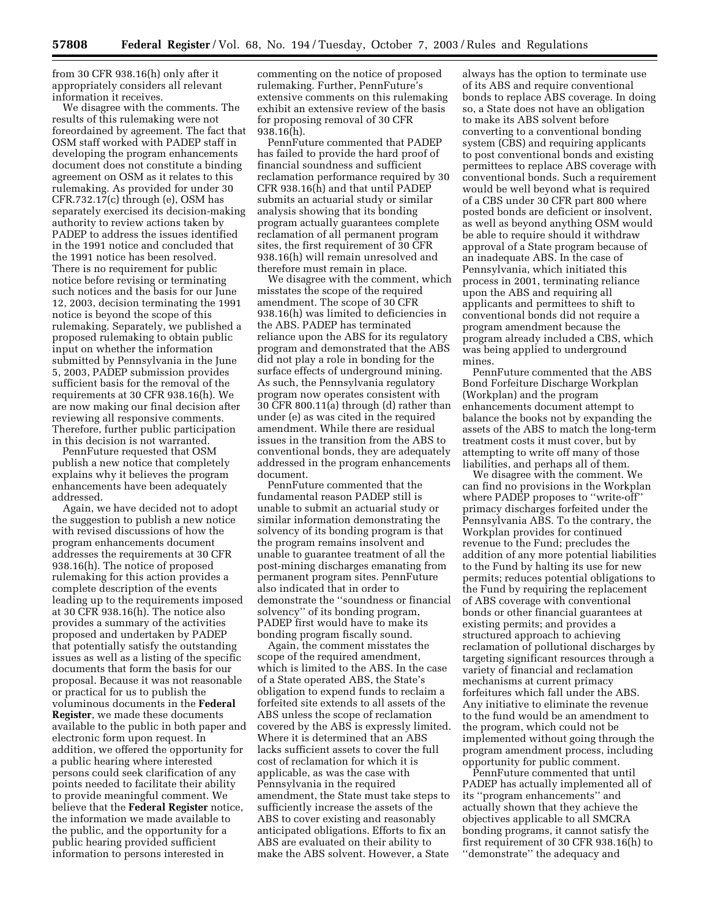from 30 CFR 938.16(h) only after it appropriately considers all relevant information it receives.

We disagree with the comments. The results of this rulemaking were not foreordained by agreement. The fact that OSM staff worked with PADEP staff in developing the program enhancements document does not constitute a binding agreement on OSM as it relates to this rulemaking. As provided for under 30 CFR.732.17(c) through (e), OSM has separately exercised its decision-making authority to review actions taken by PADEP to address the issues identified in the 1991 notice and concluded that the 1991 notice has been resolved. There is no requirement for public notice before revising or terminating such notices and the basis for our June 12, 2003, decision terminating the 1991 notice is beyond the scope of this rulemaking. Separately, we published a proposed rulemaking to obtain public input on whether the information submitted by Pennsylvania in the June 5, 2003, PADEP submission provides sufficient basis for the removal of the requirements at 30 CFR 938.16(h). We are now making our final decision after reviewing all responsive comments. Therefore, further public participation in this decision is not warranted.

PennFuture requested that OSM publish a new notice that completely explains why it believes the program enhancements have been adequately addressed.

Again, we have decided not to adopt the suggestion to publish a new notice with revised discussions of how the program enhancements document addresses the requirements at 30 CFR 938.16(h). The notice of proposed rulemaking for this action provides a complete description of the events leading up to the requirements imposed at 30 CFR 938.16(h). The notice also provides a summary of the activities proposed and undertaken by PADEP that potentially satisfy the outstanding issues as well as a listing of the specific documents that form the basis for our proposal. Because it was not reasonable or practical for us to publish the voluminous documents in the **Federal Register**, we made these documents available to the public in both paper and electronic form upon request. In addition, we offered the opportunity for a public hearing where interested persons could seek clarification of any points needed to facilitate their ability to provide meaningful comment. We believe that the **Federal Register** notice, the information we made available to the public, and the opportunity for a public hearing provided sufficient information to persons interested in

commenting on the notice of proposed rulemaking. Further, PennFuture's extensive comments on this rulemaking exhibit an extensive review of the basis for proposing removal of 30 CFR 938.16(h).

PennFuture commented that PADEP has failed to provide the hard proof of financial soundness and sufficient reclamation performance required by 30 CFR 938.16(h) and that until PADEP submits an actuarial study or similar analysis showing that its bonding program actually guarantees complete reclamation of all permanent program sites, the first requirement of 30 CFR 938.16(h) will remain unresolved and therefore must remain in place.

We disagree with the comment, which misstates the scope of the required amendment. The scope of 30 CFR 938.16(h) was limited to deficiencies in the ABS. PADEP has terminated reliance upon the ABS for its regulatory program and demonstrated that the ABS did not play a role in bonding for the surface effects of underground mining. As such, the Pennsylvania regulatory program now operates consistent with 30 CFR 800.11(a) through (d) rather than under (e) as was cited in the required amendment. While there are residual issues in the transition from the ABS to conventional bonds, they are adequately addressed in the program enhancements document.

PennFuture commented that the fundamental reason PADEP still is unable to submit an actuarial study or similar information demonstrating the solvency of its bonding program is that the program remains insolvent and unable to guarantee treatment of all the post-mining discharges emanating from permanent program sites. PennFuture also indicated that in order to demonstrate the ''soundness or financial solvency'' of its bonding program, PADEP first would have to make its bonding program fiscally sound.

Again, the comment misstates the scope of the required amendment, which is limited to the ABS. In the case of a State operated ABS, the State's obligation to expend funds to reclaim a forfeited site extends to all assets of the ABS unless the scope of reclamation covered by the ABS is expressly limited. Where it is determined that an ABS lacks sufficient assets to cover the full cost of reclamation for which it is applicable, as was the case with Pennsylvania in the required amendment, the State must take steps to sufficiently increase the assets of the ABS to cover existing and reasonably anticipated obligations. Efforts to fix an ABS are evaluated on their ability to make the ABS solvent. However, a State

always has the option to terminate use of its ABS and require conventional bonds to replace ABS coverage. In doing so, a State does not have an obligation to make its ABS solvent before converting to a conventional bonding system (CBS) and requiring applicants to post conventional bonds and existing permittees to replace ABS coverage with conventional bonds. Such a requirement would be well beyond what is required of a CBS under 30 CFR part 800 where posted bonds are deficient or insolvent, as well as beyond anything OSM would be able to require should it withdraw approval of a State program because of an inadequate ABS. In the case of Pennsylvania, which initiated this process in 2001, terminating reliance upon the ABS and requiring all applicants and permittees to shift to conventional bonds did not require a program amendment because the program already included a CBS, which was being applied to underground mines.

PennFuture commented that the ABS Bond Forfeiture Discharge Workplan (Workplan) and the program enhancements document attempt to balance the books not by expanding the assets of the ABS to match the long-term treatment costs it must cover, but by attempting to write off many of those liabilities, and perhaps all of them.

We disagree with the comment. We can find no provisions in the Workplan where PADEP proposes to ''write-off'' primacy discharges forfeited under the Pennsylvania ABS. To the contrary, the Workplan provides for continued revenue to the Fund; precludes the addition of any more potential liabilities to the Fund by halting its use for new permits; reduces potential obligations to the Fund by requiring the replacement of ABS coverage with conventional bonds or other financial guarantees at existing permits; and provides a structured approach to achieving reclamation of pollutional discharges by targeting significant resources through a variety of financial and reclamation mechanisms at current primacy forfeitures which fall under the ABS. Any initiative to eliminate the revenue to the fund would be an amendment to the program, which could not be implemented without going through the program amendment process, including opportunity for public comment.

PennFuture commented that until PADEP has actually implemented all of its ''program enhancements'' and actually shown that they achieve the objectives applicable to all SMCRA bonding programs, it cannot satisfy the first requirement of 30 CFR 938.16(h) to ''demonstrate'' the adequacy and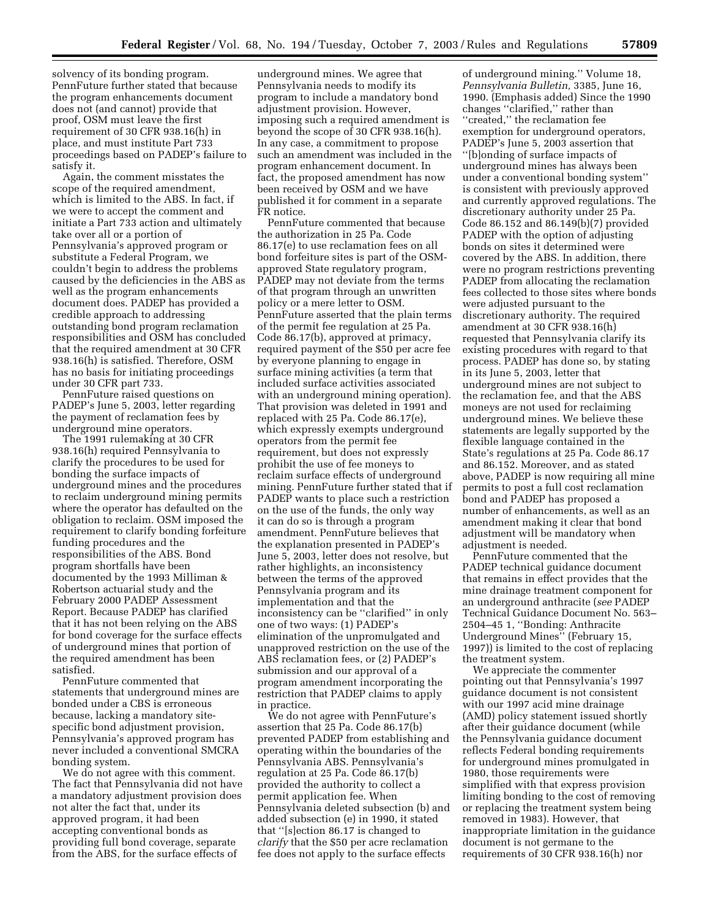solvency of its bonding program. PennFuture further stated that because the program enhancements document does not (and cannot) provide that proof, OSM must leave the first requirement of 30 CFR 938.16(h) in place, and must institute Part 733 proceedings based on PADEP's failure to satisfy it.

Again, the comment misstates the scope of the required amendment, which is limited to the ABS. In fact, if we were to accept the comment and initiate a Part 733 action and ultimately take over all or a portion of Pennsylvania's approved program or substitute a Federal Program, we couldn't begin to address the problems caused by the deficiencies in the ABS as well as the program enhancements document does. PADEP has provided a credible approach to addressing outstanding bond program reclamation responsibilities and OSM has concluded that the required amendment at 30 CFR 938.16(h) is satisfied. Therefore, OSM has no basis for initiating proceedings under 30 CFR part 733.

PennFuture raised questions on PADEP's June 5, 2003, letter regarding the payment of reclamation fees by underground mine operators.

The 1991 rulemaking at 30 CFR 938.16(h) required Pennsylvania to clarify the procedures to be used for bonding the surface impacts of underground mines and the procedures to reclaim underground mining permits where the operator has defaulted on the obligation to reclaim. OSM imposed the requirement to clarify bonding forfeiture funding procedures and the responsibilities of the ABS. Bond program shortfalls have been documented by the 1993 Milliman & Robertson actuarial study and the February 2000 PADEP Assessment Report. Because PADEP has clarified that it has not been relying on the ABS for bond coverage for the surface effects of underground mines that portion of the required amendment has been satisfied.

PennFuture commented that statements that underground mines are bonded under a CBS is erroneous because, lacking a mandatory sitespecific bond adjustment provision, Pennsylvania's approved program has never included a conventional SMCRA bonding system.

We do not agree with this comment. The fact that Pennsylvania did not have a mandatory adjustment provision does not alter the fact that, under its approved program, it had been accepting conventional bonds as providing full bond coverage, separate from the ABS, for the surface effects of

underground mines. We agree that Pennsylvania needs to modify its program to include a mandatory bond adjustment provision. However, imposing such a required amendment is beyond the scope of 30 CFR 938.16(h). In any case, a commitment to propose such an amendment was included in the program enhancement document. In fact, the proposed amendment has now been received by OSM and we have published it for comment in a separate FR notice.

PennFuture commented that because the authorization in 25 Pa. Code 86.17(e) to use reclamation fees on all bond forfeiture sites is part of the OSMapproved State regulatory program, PADEP may not deviate from the terms of that program through an unwritten policy or a mere letter to OSM. PennFuture asserted that the plain terms of the permit fee regulation at 25 Pa. Code 86.17(b), approved at primacy, required payment of the \$50 per acre fee by everyone planning to engage in surface mining activities (a term that included surface activities associated with an underground mining operation). That provision was deleted in 1991 and replaced with 25 Pa. Code 86.17(e), which expressly exempts underground operators from the permit fee requirement, but does not expressly prohibit the use of fee moneys to reclaim surface effects of underground mining. PennFuture further stated that if PADEP wants to place such a restriction on the use of the funds, the only way it can do so is through a program amendment. PennFuture believes that the explanation presented in PADEP's June 5, 2003, letter does not resolve, but rather highlights, an inconsistency between the terms of the approved Pennsylvania program and its implementation and that the inconsistency can be ''clarified'' in only one of two ways: (1) PADEP's elimination of the unpromulgated and unapproved restriction on the use of the ABS reclamation fees, or (2) PADEP's submission and our approval of a program amendment incorporating the restriction that PADEP claims to apply in practice.

We do not agree with PennFuture's assertion that 25 Pa. Code 86.17(b) prevented PADEP from establishing and operating within the boundaries of the Pennsylvania ABS. Pennsylvania's regulation at 25 Pa. Code 86.17(b) provided the authority to collect a permit application fee. When Pennsylvania deleted subsection (b) and added subsection (e) in 1990, it stated that ''[s]ection 86.17 is changed to *clarify* that the \$50 per acre reclamation fee does not apply to the surface effects

of underground mining.'' Volume 18, *Pennsylvania Bulletin,* 3385, June 16, 1990. (Emphasis added) Since the 1990 changes ''clarified,'' rather than ''created,'' the reclamation fee exemption for underground operators, PADEP's June 5, 2003 assertion that ''[b]onding of surface impacts of underground mines has always been under a conventional bonding system'' is consistent with previously approved and currently approved regulations. The discretionary authority under 25 Pa. Code 86.152 and 86.149(b)(7) provided PADEP with the option of adjusting bonds on sites it determined were covered by the ABS. In addition, there were no program restrictions preventing PADEP from allocating the reclamation fees collected to those sites where bonds were adjusted pursuant to the discretionary authority. The required amendment at 30 CFR 938.16(h) requested that Pennsylvania clarify its existing procedures with regard to that process. PADEP has done so, by stating in its June 5, 2003, letter that underground mines are not subject to the reclamation fee, and that the ABS moneys are not used for reclaiming underground mines. We believe these statements are legally supported by the flexible language contained in the State's regulations at 25 Pa. Code 86.17 and 86.152. Moreover, and as stated above, PADEP is now requiring all mine permits to post a full cost reclamation bond and PADEP has proposed a number of enhancements, as well as an amendment making it clear that bond adjustment will be mandatory when adjustment is needed.

PennFuture commented that the PADEP technical guidance document that remains in effect provides that the mine drainage treatment component for an underground anthracite (*see* PADEP Technical Guidance Document No. 563– 2504–45 1, ''Bonding: Anthracite Underground Mines'' (February 15, 1997)) is limited to the cost of replacing the treatment system.

We appreciate the commenter pointing out that Pennsylvania's 1997 guidance document is not consistent with our 1997 acid mine drainage (AMD) policy statement issued shortly after their guidance document (while the Pennsylvania guidance document reflects Federal bonding requirements for underground mines promulgated in 1980, those requirements were simplified with that express provision limiting bonding to the cost of removing or replacing the treatment system being removed in 1983). However, that inappropriate limitation in the guidance document is not germane to the requirements of 30 CFR 938.16(h) nor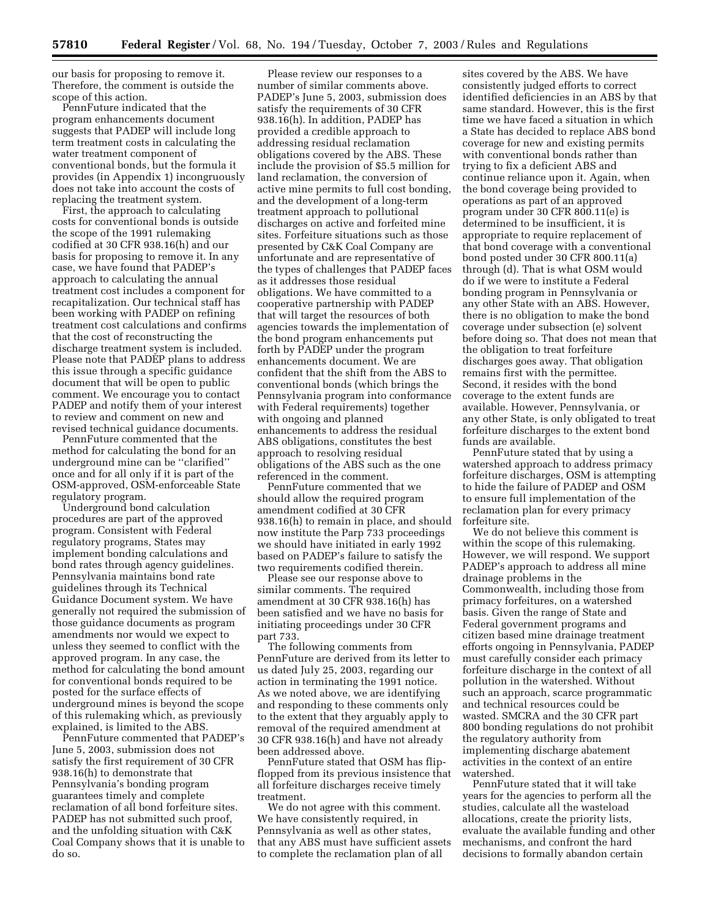our basis for proposing to remove it. Therefore, the comment is outside the scope of this action.

PennFuture indicated that the program enhancements document suggests that PADEP will include long term treatment costs in calculating the water treatment component of conventional bonds, but the formula it provides (in Appendix 1) incongruously does not take into account the costs of replacing the treatment system.

First, the approach to calculating costs for conventional bonds is outside the scope of the 1991 rulemaking codified at 30 CFR 938.16(h) and our basis for proposing to remove it. In any case, we have found that PADEP's approach to calculating the annual treatment cost includes a component for recapitalization. Our technical staff has been working with PADEP on refining treatment cost calculations and confirms that the cost of reconstructing the discharge treatment system is included. Please note that PADEP plans to address this issue through a specific guidance document that will be open to public comment. We encourage you to contact PADEP and notify them of your interest to review and comment on new and revised technical guidance documents.

PennFuture commented that the method for calculating the bond for an underground mine can be ''clarified'' once and for all only if it is part of the OSM-approved, OSM-enforceable State regulatory program.

Underground bond calculation procedures are part of the approved program. Consistent with Federal regulatory programs, States may implement bonding calculations and bond rates through agency guidelines. Pennsylvania maintains bond rate guidelines through its Technical Guidance Document system. We have generally not required the submission of those guidance documents as program amendments nor would we expect to unless they seemed to conflict with the approved program. In any case, the method for calculating the bond amount for conventional bonds required to be posted for the surface effects of underground mines is beyond the scope of this rulemaking which, as previously explained, is limited to the ABS.

PennFuture commented that PADEP's June 5, 2003, submission does not satisfy the first requirement of 30 CFR 938.16(h) to demonstrate that Pennsylvania's bonding program guarantees timely and complete reclamation of all bond forfeiture sites. PADEP has not submitted such proof, and the unfolding situation with C&K Coal Company shows that it is unable to do so.

Please review our responses to a number of similar comments above. PADEP's June 5, 2003, submission does satisfy the requirements of 30 CFR 938.16(h). In addition, PADEP has provided a credible approach to addressing residual reclamation obligations covered by the ABS. These include the provision of \$5.5 million for land reclamation, the conversion of active mine permits to full cost bonding, and the development of a long-term treatment approach to pollutional discharges on active and forfeited mine sites. Forfeiture situations such as those presented by C&K Coal Company are unfortunate and are representative of the types of challenges that PADEP faces as it addresses those residual obligations. We have committed to a cooperative partnership with PADEP that will target the resources of both agencies towards the implementation of the bond program enhancements put forth by PADEP under the program enhancements document. We are confident that the shift from the ABS to conventional bonds (which brings the Pennsylvania program into conformance with Federal requirements) together with ongoing and planned enhancements to address the residual ABS obligations, constitutes the best approach to resolving residual obligations of the ABS such as the one referenced in the comment.

PennFuture commented that we should allow the required program amendment codified at 30 CFR 938.16(h) to remain in place, and should now institute the Parp 733 proceedings we should have initiated in early 1992 based on PADEP's failure to satisfy the two requirements codified therein.

Please see our response above to similar comments. The required amendment at 30 CFR 938.16(h) has been satisfied and we have no basis for initiating proceedings under 30 CFR part 733.

The following comments from PennFuture are derived from its letter to us dated July 25, 2003, regarding our action in terminating the 1991 notice. As we noted above, we are identifying and responding to these comments only to the extent that they arguably apply to removal of the required amendment at 30 CFR 938.16(h) and have not already been addressed above.

PennFuture stated that OSM has flipflopped from its previous insistence that all forfeiture discharges receive timely treatment.

We do not agree with this comment. We have consistently required, in Pennsylvania as well as other states, that any ABS must have sufficient assets to complete the reclamation plan of all

sites covered by the ABS. We have consistently judged efforts to correct identified deficiencies in an ABS by that same standard. However, this is the first time we have faced a situation in which a State has decided to replace ABS bond coverage for new and existing permits with conventional bonds rather than trying to fix a deficient ABS and continue reliance upon it. Again, when the bond coverage being provided to operations as part of an approved program under 30 CFR 800.11(e) is determined to be insufficient, it is appropriate to require replacement of that bond coverage with a conventional bond posted under 30 CFR 800.11(a) through (d). That is what OSM would do if we were to institute a Federal bonding program in Pennsylvania or any other State with an ABS. However, there is no obligation to make the bond coverage under subsection (e) solvent before doing so. That does not mean that the obligation to treat forfeiture discharges goes away. That obligation remains first with the permittee. Second, it resides with the bond coverage to the extent funds are available. However, Pennsylvania, or any other State, is only obligated to treat forfeiture discharges to the extent bond funds are available.

PennFuture stated that by using a watershed approach to address primacy forfeiture discharges, OSM is attempting to hide the failure of PADEP and OSM to ensure full implementation of the reclamation plan for every primacy forfeiture site.

We do not believe this comment is within the scope of this rulemaking. However, we will respond. We support PADEP's approach to address all mine drainage problems in the Commonwealth, including those from primacy forfeitures, on a watershed basis. Given the range of State and Federal government programs and citizen based mine drainage treatment efforts ongoing in Pennsylvania, PADEP must carefully consider each primacy forfeiture discharge in the context of all pollution in the watershed. Without such an approach, scarce programmatic and technical resources could be wasted. SMCRA and the 30 CFR part 800 bonding regulations do not prohibit the regulatory authority from implementing discharge abatement activities in the context of an entire watershed.

PennFuture stated that it will take years for the agencies to perform all the studies, calculate all the wasteload allocations, create the priority lists, evaluate the available funding and other mechanisms, and confront the hard decisions to formally abandon certain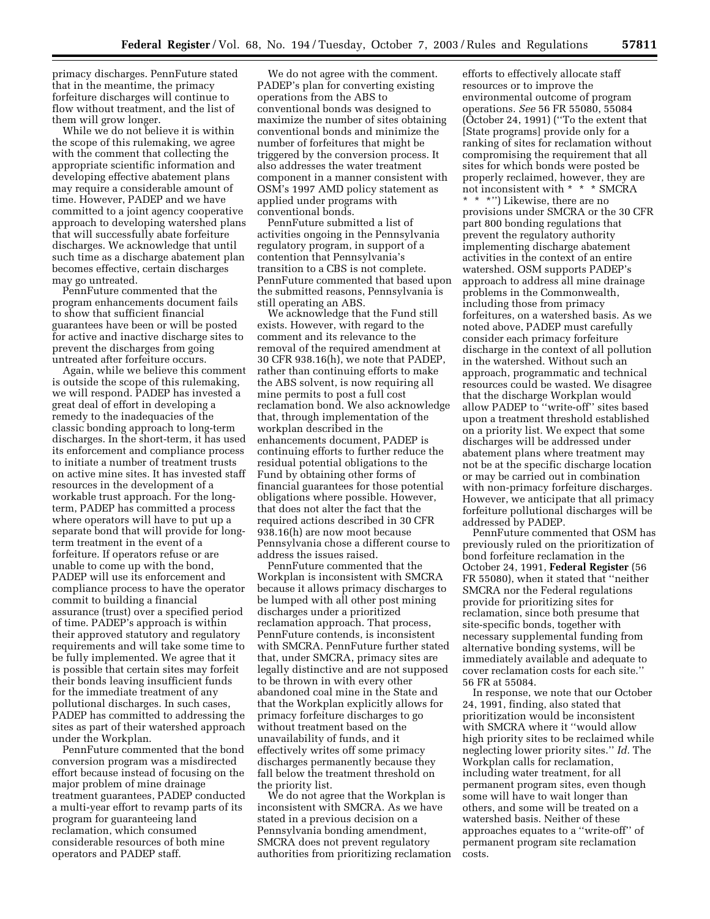primacy discharges. PennFuture stated that in the meantime, the primacy forfeiture discharges will continue to flow without treatment, and the list of them will grow longer.

While we do not believe it is within the scope of this rulemaking, we agree with the comment that collecting the appropriate scientific information and developing effective abatement plans may require a considerable amount of time. However, PADEP and we have committed to a joint agency cooperative approach to developing watershed plans that will successfully abate forfeiture discharges. We acknowledge that until such time as a discharge abatement plan becomes effective, certain discharges may go untreated.

PennFuture commented that the program enhancements document fails to show that sufficient financial guarantees have been or will be posted for active and inactive discharge sites to prevent the discharges from going untreated after forfeiture occurs.

Again, while we believe this comment is outside the scope of this rulemaking, we will respond. PADEP has invested a great deal of effort in developing a remedy to the inadequacies of the classic bonding approach to long-term discharges. In the short-term, it has used its enforcement and compliance process to initiate a number of treatment trusts on active mine sites. It has invested staff resources in the development of a workable trust approach. For the longterm, PADEP has committed a process where operators will have to put up a separate bond that will provide for longterm treatment in the event of a forfeiture. If operators refuse or are unable to come up with the bond, PADEP will use its enforcement and compliance process to have the operator commit to building a financial assurance (trust) over a specified period of time. PADEP's approach is within their approved statutory and regulatory requirements and will take some time to be fully implemented. We agree that it is possible that certain sites may forfeit their bonds leaving insufficient funds for the immediate treatment of any pollutional discharges. In such cases, PADEP has committed to addressing the sites as part of their watershed approach under the Workplan.

PennFuture commented that the bond conversion program was a misdirected effort because instead of focusing on the major problem of mine drainage treatment guarantees, PADEP conducted a multi-year effort to revamp parts of its program for guaranteeing land reclamation, which consumed considerable resources of both mine operators and PADEP staff.

We do not agree with the comment. PADEP's plan for converting existing operations from the ABS to conventional bonds was designed to maximize the number of sites obtaining conventional bonds and minimize the number of forfeitures that might be triggered by the conversion process. It also addresses the water treatment component in a manner consistent with OSM's 1997 AMD policy statement as applied under programs with conventional bonds.

PennFuture submitted a list of activities ongoing in the Pennsylvania regulatory program, in support of a contention that Pennsylvania's transition to a CBS is not complete. PennFuture commented that based upon the submitted reasons, Pennsylvania is still operating an ABS.

We acknowledge that the Fund still exists. However, with regard to the comment and its relevance to the removal of the required amendment at 30 CFR 938.16(h), we note that PADEP, rather than continuing efforts to make the ABS solvent, is now requiring all mine permits to post a full cost reclamation bond. We also acknowledge that, through implementation of the workplan described in the enhancements document, PADEP is continuing efforts to further reduce the residual potential obligations to the Fund by obtaining other forms of financial guarantees for those potential obligations where possible. However, that does not alter the fact that the required actions described in 30 CFR 938.16(h) are now moot because Pennsylvania chose a different course to address the issues raised.

PennFuture commented that the Workplan is inconsistent with SMCRA because it allows primacy discharges to be lumped with all other post mining discharges under a prioritized reclamation approach. That process, PennFuture contends, is inconsistent with SMCRA. PennFuture further stated that, under SMCRA, primacy sites are legally distinctive and are not supposed to be thrown in with every other abandoned coal mine in the State and that the Workplan explicitly allows for primacy forfeiture discharges to go without treatment based on the unavailability of funds, and it effectively writes off some primacy discharges permanently because they fall below the treatment threshold on the priority list.

We do not agree that the Workplan is inconsistent with SMCRA. As we have stated in a previous decision on a Pennsylvania bonding amendment, SMCRA does not prevent regulatory authorities from prioritizing reclamation

efforts to effectively allocate staff resources or to improve the environmental outcome of program operations. *See* 56 FR 55080, 55084 (October 24, 1991) (''To the extent that [State programs] provide only for a ranking of sites for reclamation without compromising the requirement that all sites for which bonds were posted be properly reclaimed, however, they are not inconsistent with \* \* \* SMCRA \*\*\*'') Likewise, there are no provisions under SMCRA or the 30 CFR part 800 bonding regulations that prevent the regulatory authority implementing discharge abatement activities in the context of an entire watershed. OSM supports PADEP's approach to address all mine drainage problems in the Commonwealth, including those from primacy forfeitures, on a watershed basis. As we noted above, PADEP must carefully consider each primacy forfeiture discharge in the context of all pollution in the watershed. Without such an approach, programmatic and technical resources could be wasted. We disagree that the discharge Workplan would allow PADEP to ''write-off'' sites based upon a treatment threshold established on a priority list. We expect that some discharges will be addressed under abatement plans where treatment may not be at the specific discharge location or may be carried out in combination with non-primacy forfeiture discharges. However, we anticipate that all primacy forfeiture pollutional discharges will be addressed by PADEP.

PennFuture commented that OSM has previously ruled on the prioritization of bond forfeiture reclamation in the October 24, 1991, **Federal Register** (56 FR 55080), when it stated that ''neither SMCRA nor the Federal regulations provide for prioritizing sites for reclamation, since both presume that site-specific bonds, together with necessary supplemental funding from alternative bonding systems, will be immediately available and adequate to cover reclamation costs for each site.'' 56 FR at 55084.

In response, we note that our October 24, 1991, finding, also stated that prioritization would be inconsistent with SMCRA where it ''would allow high priority sites to be reclaimed while neglecting lower priority sites.'' *Id.* The Workplan calls for reclamation, including water treatment, for all permanent program sites, even though some will have to wait longer than others, and some will be treated on a watershed basis. Neither of these approaches equates to a ''write-off'' of permanent program site reclamation costs.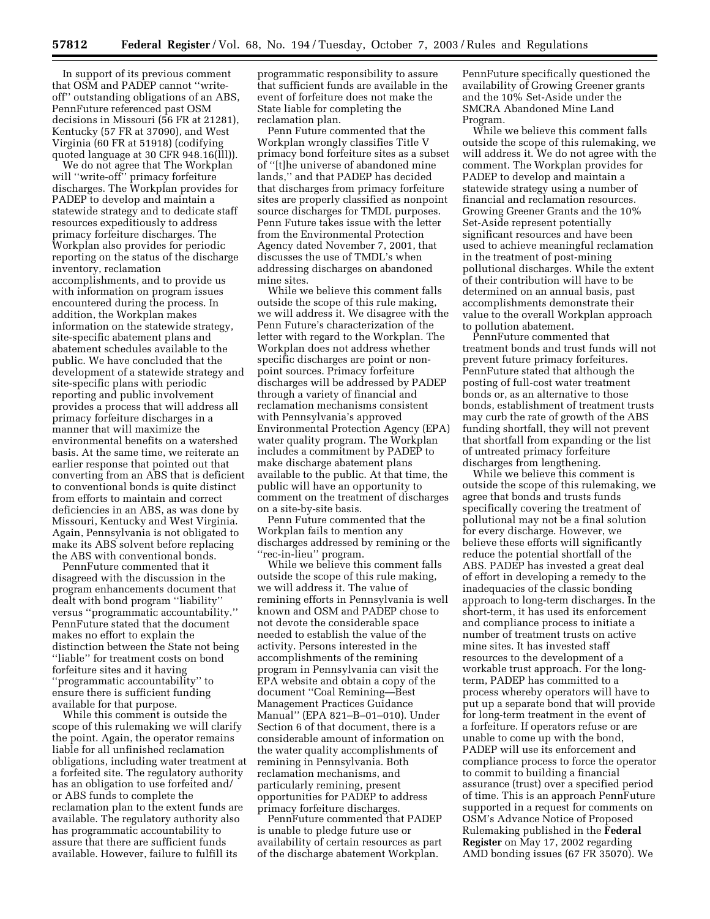In support of its previous comment that OSM and PADEP cannot ''writeoff'' outstanding obligations of an ABS, PennFuture referenced past OSM decisions in Missouri (56 FR at 21281), Kentucky (57 FR at 37090), and West Virginia (60 FR at 51918) (codifying quoted language at 30 CFR 948.16(lll)).

We do not agree that The Workplan will ''write-off'' primacy forfeiture discharges. The Workplan provides for PADEP to develop and maintain a statewide strategy and to dedicate staff resources expeditiously to address primacy forfeiture discharges. The Workplan also provides for periodic reporting on the status of the discharge inventory, reclamation accomplishments, and to provide us with information on program issues encountered during the process. In addition, the Workplan makes information on the statewide strategy, site-specific abatement plans and abatement schedules available to the public. We have concluded that the development of a statewide strategy and site-specific plans with periodic reporting and public involvement provides a process that will address all primacy forfeiture discharges in a manner that will maximize the environmental benefits on a watershed basis. At the same time, we reiterate an earlier response that pointed out that converting from an ABS that is deficient to conventional bonds is quite distinct from efforts to maintain and correct deficiencies in an ABS, as was done by Missouri, Kentucky and West Virginia. Again, Pennsylvania is not obligated to make its ABS solvent before replacing the ABS with conventional bonds.

PennFuture commented that it disagreed with the discussion in the program enhancements document that dealt with bond program ''liability'' versus ''programmatic accountability.'' PennFuture stated that the document makes no effort to explain the distinction between the State not being ''liable'' for treatment costs on bond forfeiture sites and it having ''programmatic accountability'' to ensure there is sufficient funding available for that purpose.

While this comment is outside the scope of this rulemaking we will clarify the point. Again, the operator remains liable for all unfinished reclamation obligations, including water treatment at a forfeited site. The regulatory authority has an obligation to use forfeited and/ or ABS funds to complete the reclamation plan to the extent funds are available. The regulatory authority also has programmatic accountability to assure that there are sufficient funds available. However, failure to fulfill its

programmatic responsibility to assure that sufficient funds are available in the event of forfeiture does not make the State liable for completing the reclamation plan.

Penn Future commented that the Workplan wrongly classifies Title V primacy bond forfeiture sites as a subset of ''[t]he universe of abandoned mine lands,'' and that PADEP has decided that discharges from primacy forfeiture sites are properly classified as nonpoint source discharges for TMDL purposes. Penn Future takes issue with the letter from the Environmental Protection Agency dated November 7, 2001, that discusses the use of TMDL's when addressing discharges on abandoned mine sites.

While we believe this comment falls outside the scope of this rule making, we will address it. We disagree with the Penn Future's characterization of the letter with regard to the Workplan. The Workplan does not address whether specific discharges are point or nonpoint sources. Primacy forfeiture discharges will be addressed by PADEP through a variety of financial and reclamation mechanisms consistent with Pennsylvania's approved Environmental Protection Agency (EPA) water quality program. The Workplan includes a commitment by PADEP to make discharge abatement plans available to the public. At that time, the public will have an opportunity to comment on the treatment of discharges on a site-by-site basis.

Penn Future commented that the Workplan fails to mention any discharges addressed by remining or the ''rec-in-lieu'' program.

While we believe this comment falls outside the scope of this rule making, we will address it. The value of remining efforts in Pennsylvania is well known and OSM and PADEP chose to not devote the considerable space needed to establish the value of the activity. Persons interested in the accomplishments of the remining program in Pennsylvania can visit the EPA website and obtain a copy of the document ''Coal Remining—Best Management Practices Guidance Manual'' (EPA 821–B–01–010). Under Section 6 of that document, there is a considerable amount of information on the water quality accomplishments of remining in Pennsylvania. Both reclamation mechanisms, and particularly remining, present opportunities for PADEP to address primacy forfeiture discharges.

PennFuture commented that PADEP is unable to pledge future use or availability of certain resources as part of the discharge abatement Workplan.

PennFuture specifically questioned the availability of Growing Greener grants and the 10% Set-Aside under the SMCRA Abandoned Mine Land Program.

While we believe this comment falls outside the scope of this rulemaking, we will address it. We do not agree with the comment. The Workplan provides for PADEP to develop and maintain a statewide strategy using a number of financial and reclamation resources. Growing Greener Grants and the 10% Set-Aside represent potentially significant resources and have been used to achieve meaningful reclamation in the treatment of post-mining pollutional discharges. While the extent of their contribution will have to be determined on an annual basis, past accomplishments demonstrate their value to the overall Workplan approach to pollution abatement.

PennFuture commented that treatment bonds and trust funds will not prevent future primacy forfeitures. PennFuture stated that although the posting of full-cost water treatment bonds or, as an alternative to those bonds, establishment of treatment trusts may curb the rate of growth of the ABS funding shortfall, they will not prevent that shortfall from expanding or the list of untreated primacy forfeiture discharges from lengthening.

While we believe this comment is outside the scope of this rulemaking, we agree that bonds and trusts funds specifically covering the treatment of pollutional may not be a final solution for every discharge. However, we believe these efforts will significantly reduce the potential shortfall of the ABS. PADEP has invested a great deal of effort in developing a remedy to the inadequacies of the classic bonding approach to long-term discharges. In the short-term, it has used its enforcement and compliance process to initiate a number of treatment trusts on active mine sites. It has invested staff resources to the development of a workable trust approach. For the longterm, PADEP has committed to a process whereby operators will have to put up a separate bond that will provide for long-term treatment in the event of a forfeiture. If operators refuse or are unable to come up with the bond, PADEP will use its enforcement and compliance process to force the operator to commit to building a financial assurance (trust) over a specified period of time. This is an approach PennFuture supported in a request for comments on OSM's Advance Notice of Proposed Rulemaking published in the **Federal Register** on May 17, 2002 regarding AMD bonding issues (67 FR 35070). We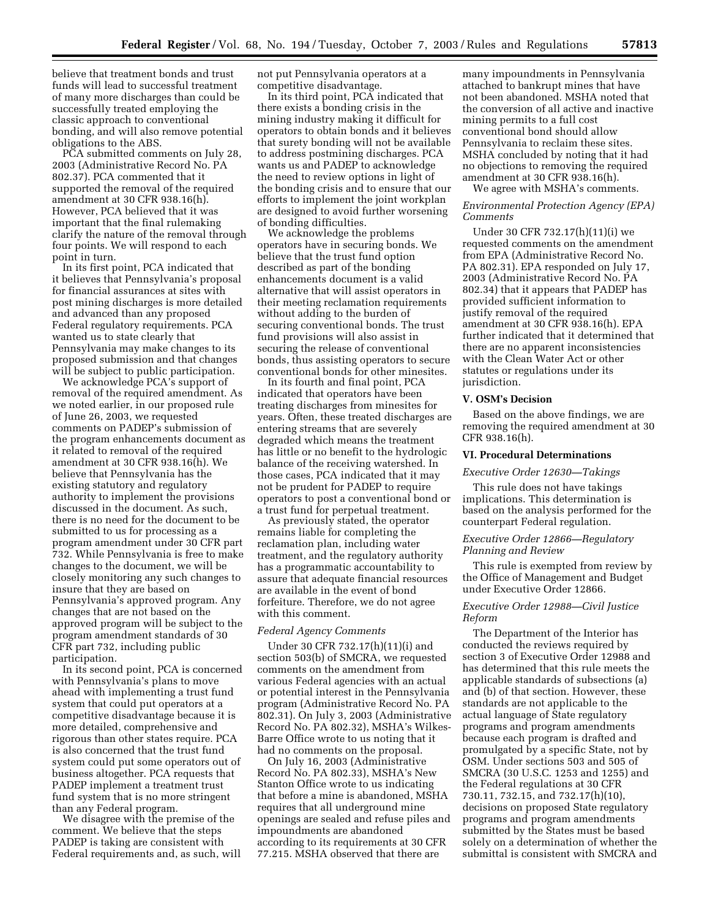believe that treatment bonds and trust funds will lead to successful treatment of many more discharges than could be successfully treated employing the classic approach to conventional bonding, and will also remove potential obligations to the ABS.

PCA submitted comments on July 28, 2003 (Administrative Record No. PA 802.37). PCA commented that it supported the removal of the required amendment at 30 CFR 938.16(h). However, PCA believed that it was important that the final rulemaking clarify the nature of the removal through four points. We will respond to each point in turn.

In its first point, PCA indicated that it believes that Pennsylvania's proposal for financial assurances at sites with post mining discharges is more detailed and advanced than any proposed Federal regulatory requirements. PCA wanted us to state clearly that Pennsylvania may make changes to its proposed submission and that changes will be subject to public participation.

We acknowledge PCA's support of removal of the required amendment. As we noted earlier, in our proposed rule of June 26, 2003, we requested comments on PADEP's submission of the program enhancements document as it related to removal of the required amendment at 30 CFR 938.16(h). We believe that Pennsylvania has the existing statutory and regulatory authority to implement the provisions discussed in the document. As such, there is no need for the document to be submitted to us for processing as a program amendment under 30 CFR part 732. While Pennsylvania is free to make changes to the document, we will be closely monitoring any such changes to insure that they are based on Pennsylvania's approved program. Any changes that are not based on the approved program will be subject to the program amendment standards of 30 CFR part 732, including public participation.

In its second point, PCA is concerned with Pennsylvania's plans to move ahead with implementing a trust fund system that could put operators at a competitive disadvantage because it is more detailed, comprehensive and rigorous than other states require. PCA is also concerned that the trust fund system could put some operators out of business altogether. PCA requests that PADEP implement a treatment trust fund system that is no more stringent than any Federal program.

We disagree with the premise of the comment. We believe that the steps PADEP is taking are consistent with Federal requirements and, as such, will not put Pennsylvania operators at a competitive disadvantage.

In its third point, PCA indicated that there exists a bonding crisis in the mining industry making it difficult for operators to obtain bonds and it believes that surety bonding will not be available to address postmining discharges. PCA wants us and PADEP to acknowledge the need to review options in light of the bonding crisis and to ensure that our efforts to implement the joint workplan are designed to avoid further worsening of bonding difficulties.

We acknowledge the problems operators have in securing bonds. We believe that the trust fund option described as part of the bonding enhancements document is a valid alternative that will assist operators in their meeting reclamation requirements without adding to the burden of securing conventional bonds. The trust fund provisions will also assist in securing the release of conventional bonds, thus assisting operators to secure conventional bonds for other minesites.

In its fourth and final point, PCA indicated that operators have been treating discharges from minesites for years. Often, these treated discharges are entering streams that are severely degraded which means the treatment has little or no benefit to the hydrologic balance of the receiving watershed. In those cases, PCA indicated that it may not be prudent for PADEP to require operators to post a conventional bond or a trust fund for perpetual treatment.

As previously stated, the operator remains liable for completing the reclamation plan, including water treatment, and the regulatory authority has a programmatic accountability to assure that adequate financial resources are available in the event of bond forfeiture. Therefore, we do not agree with this comment.

### *Federal Agency Comments*

Under 30 CFR 732.17(h)(11)(i) and section 503(b) of SMCRA, we requested comments on the amendment from various Federal agencies with an actual or potential interest in the Pennsylvania program (Administrative Record No. PA 802.31). On July 3, 2003 (Administrative Record No. PA 802.32), MSHA's Wilkes-Barre Office wrote to us noting that it had no comments on the proposal.

On July 16, 2003 (Administrative Record No. PA 802.33), MSHA's New Stanton Office wrote to us indicating that before a mine is abandoned, MSHA requires that all underground mine openings are sealed and refuse piles and impoundments are abandoned according to its requirements at 30 CFR 77.215. MSHA observed that there are

many impoundments in Pennsylvania attached to bankrupt mines that have not been abandoned. MSHA noted that the conversion of all active and inactive mining permits to a full cost conventional bond should allow Pennsylvania to reclaim these sites. MSHA concluded by noting that it had no objections to removing the required amendment at 30 CFR 938.16(h).

We agree with MSHA's comments.

## *Environmental Protection Agency (EPA) Comments*

Under 30 CFR 732.17(h)(11)(i) we requested comments on the amendment from EPA (Administrative Record No. PA 802.31). EPA responded on July 17, 2003 (Administrative Record No. PA 802.34) that it appears that PADEP has provided sufficient information to justify removal of the required amendment at 30 CFR 938.16(h). EPA further indicated that it determined that there are no apparent inconsistencies with the Clean Water Act or other statutes or regulations under its jurisdiction.

## **V. OSM's Decision**

Based on the above findings, we are removing the required amendment at 30 CFR 938.16(h).

#### **VI. Procedural Determinations**

### *Executive Order 12630—Takings*

This rule does not have takings implications. This determination is based on the analysis performed for the counterpart Federal regulation.

# *Executive Order 12866—Regulatory Planning and Review*

This rule is exempted from review by the Office of Management and Budget under Executive Order 12866.

## *Executive Order 12988—Civil Justice Reform*

The Department of the Interior has conducted the reviews required by section 3 of Executive Order 12988 and has determined that this rule meets the applicable standards of subsections (a) and (b) of that section. However, these standards are not applicable to the actual language of State regulatory programs and program amendments because each program is drafted and promulgated by a specific State, not by OSM. Under sections 503 and 505 of SMCRA (30 U.S.C. 1253 and 1255) and the Federal regulations at 30 CFR 730.11, 732.15, and 732.17(h)(10), decisions on proposed State regulatory programs and program amendments submitted by the States must be based solely on a determination of whether the submittal is consistent with SMCRA and